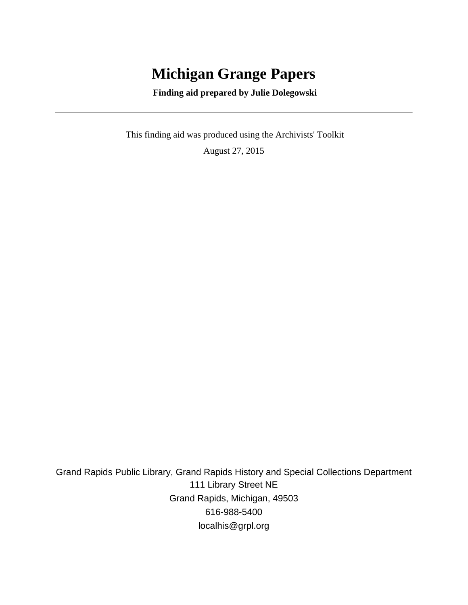# **Michigan Grange Papers**

 **Finding aid prepared by Julie Dolegowski**

 This finding aid was produced using the Archivists' Toolkit August 27, 2015

Grand Rapids Public Library, Grand Rapids History and Special Collections Department 111 Library Street NE Grand Rapids, Michigan, 49503 616-988-5400 localhis@grpl.org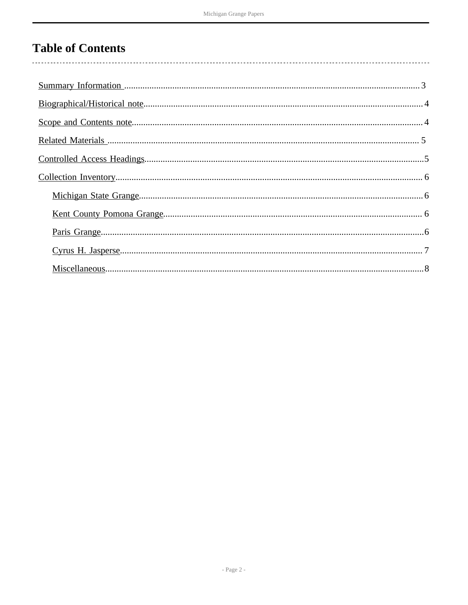# **Table of Contents**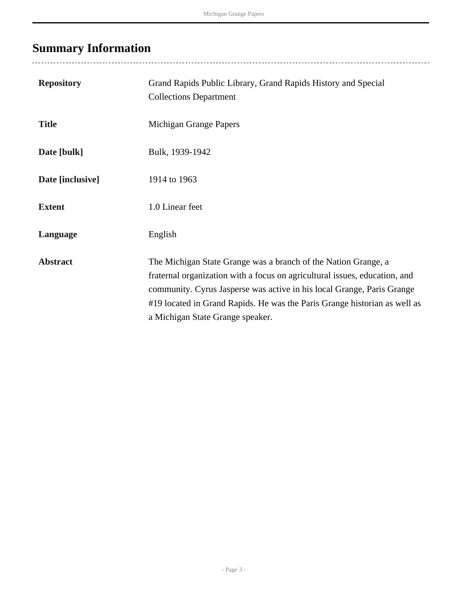# <span id="page-2-0"></span>**Summary Information**

| <b>Repository</b> | Grand Rapids Public Library, Grand Rapids History and Special<br><b>Collections Department</b>                                                                                                                                                                                                                                          |
|-------------------|-----------------------------------------------------------------------------------------------------------------------------------------------------------------------------------------------------------------------------------------------------------------------------------------------------------------------------------------|
| <b>Title</b>      | Michigan Grange Papers                                                                                                                                                                                                                                                                                                                  |
| Date [bulk]       | Bulk, 1939-1942                                                                                                                                                                                                                                                                                                                         |
| Date [inclusive]  | 1914 to 1963                                                                                                                                                                                                                                                                                                                            |
| <b>Extent</b>     | 1.0 Linear feet                                                                                                                                                                                                                                                                                                                         |
| Language          | English                                                                                                                                                                                                                                                                                                                                 |
| <b>Abstract</b>   | The Michigan State Grange was a branch of the Nation Grange, a<br>fraternal organization with a focus on agricultural issues, education, and<br>community. Cyrus Jasperse was active in his local Grange, Paris Grange<br>#19 located in Grand Rapids. He was the Paris Grange historian as well as<br>a Michigan State Grange speaker. |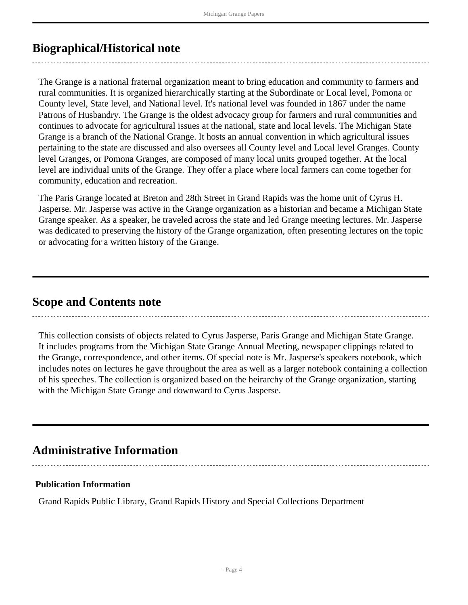## <span id="page-3-0"></span>**Biographical/Historical note**

The Grange is a national fraternal organization meant to bring education and community to farmers and rural communities. It is organized hierarchically starting at the Subordinate or Local level, Pomona or County level, State level, and National level. It's national level was founded in 1867 under the name Patrons of Husbandry. The Grange is the oldest advocacy group for farmers and rural communities and continues to advocate for agricultural issues at the national, state and local levels. The Michigan State Grange is a branch of the National Grange. It hosts an annual convention in which agricultural issues pertaining to the state are discussed and also oversees all County level and Local level Granges. County level Granges, or Pomona Granges, are composed of many local units grouped together. At the local level are individual units of the Grange. They offer a place where local farmers can come together for community, education and recreation.

The Paris Grange located at Breton and 28th Street in Grand Rapids was the home unit of Cyrus H. Jasperse. Mr. Jasperse was active in the Grange organization as a historian and became a Michigan State Grange speaker. As a speaker, he traveled across the state and led Grange meeting lectures. Mr. Jasperse was dedicated to preserving the history of the Grange organization, often presenting lectures on the topic or advocating for a written history of the Grange.

## <span id="page-3-1"></span>**Scope and Contents note**

This collection consists of objects related to Cyrus Jasperse, Paris Grange and Michigan State Grange. It includes programs from the Michigan State Grange Annual Meeting, newspaper clippings related to the Grange, correspondence, and other items. Of special note is Mr. Jasperse's speakers notebook, which includes notes on lectures he gave throughout the area as well as a larger notebook containing a collection of his speeches. The collection is organized based on the heirarchy of the Grange organization, starting with the Michigan State Grange and downward to Cyrus Jasperse.

## **Administrative Information**

### **Publication Information**

Grand Rapids Public Library, Grand Rapids History and Special Collections Department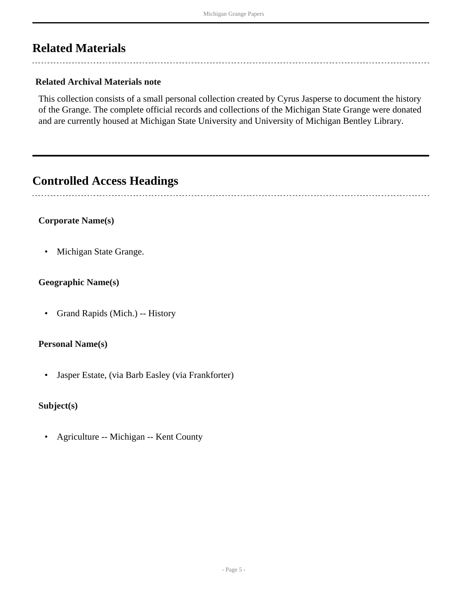## <span id="page-4-0"></span>**Related Materials**

### **Related Archival Materials note**

This collection consists of a small personal collection created by Cyrus Jasperse to document the history of the Grange. The complete official records and collections of the Michigan State Grange were donated and are currently housed at Michigan State University and University of Michigan Bentley Library.

## <span id="page-4-1"></span>**Controlled Access Headings**

#### **Corporate Name(s)**

• Michigan State Grange.

### **Geographic Name(s)**

• Grand Rapids (Mich.) -- History

#### **Personal Name(s)**

• Jasper Estate, (via Barb Easley (via Frankforter)

### **Subject(s)**

• Agriculture -- Michigan -- Kent County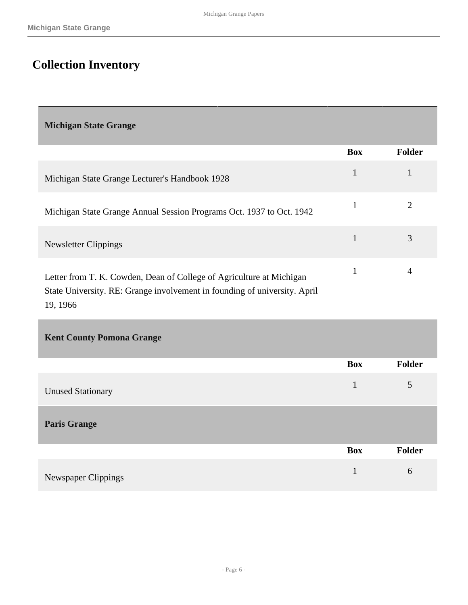# <span id="page-5-0"></span>**Collection Inventory**

<span id="page-5-1"></span>**Michigan State Grange** 

|                                                                                                                                                   | <b>Box</b> | <b>Folder</b> |
|---------------------------------------------------------------------------------------------------------------------------------------------------|------------|---------------|
| Michigan State Grange Lecturer's Handbook 1928                                                                                                    |            |               |
| Michigan State Grange Annual Session Programs Oct. 1937 to Oct. 1942                                                                              |            |               |
| Newsletter Clippings                                                                                                                              |            | 3             |
| Letter from T. K. Cowden, Dean of College of Agriculture at Michigan<br>State University. RE: Grange involvement in founding of university. April |            | 4             |

19, 1966

<span id="page-5-3"></span><span id="page-5-2"></span>

| <b>Kent County Pomona Grange</b> |              |        |
|----------------------------------|--------------|--------|
|                                  | <b>Box</b>   | Folder |
| <b>Unused Stationary</b>         | $\mathbf{1}$ | 5      |
| <b>Paris Grange</b>              |              |        |
|                                  | <b>Box</b>   | Folder |
| Newspaper Clippings              | $\mathbf{1}$ | 6      |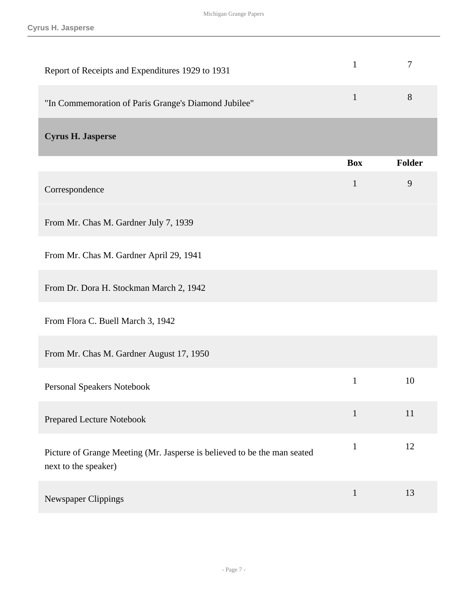<span id="page-6-0"></span>

| Report of Receipts and Expenditures 1929 to 1931                                                 | $\mathbf{1}$ | 7             |
|--------------------------------------------------------------------------------------------------|--------------|---------------|
| "In Commemoration of Paris Grange's Diamond Jubilee"                                             | $\mathbf{1}$ | 8             |
| <b>Cyrus H. Jasperse</b>                                                                         |              |               |
|                                                                                                  | <b>Box</b>   | <b>Folder</b> |
| Correspondence                                                                                   | $\mathbf{1}$ | 9             |
| From Mr. Chas M. Gardner July 7, 1939                                                            |              |               |
| From Mr. Chas M. Gardner April 29, 1941                                                          |              |               |
| From Dr. Dora H. Stockman March 2, 1942                                                          |              |               |
| From Flora C. Buell March 3, 1942                                                                |              |               |
| From Mr. Chas M. Gardner August 17, 1950                                                         |              |               |
| <b>Personal Speakers Notebook</b>                                                                | $\mathbf{1}$ | 10            |
| Prepared Lecture Notebook                                                                        | $\mathbf{1}$ | 11            |
| Picture of Grange Meeting (Mr. Jasperse is believed to be the man seated<br>next to the speaker) | $\mathbf{1}$ | 12            |
| Newspaper Clippings                                                                              | $\mathbf{1}$ | 13            |